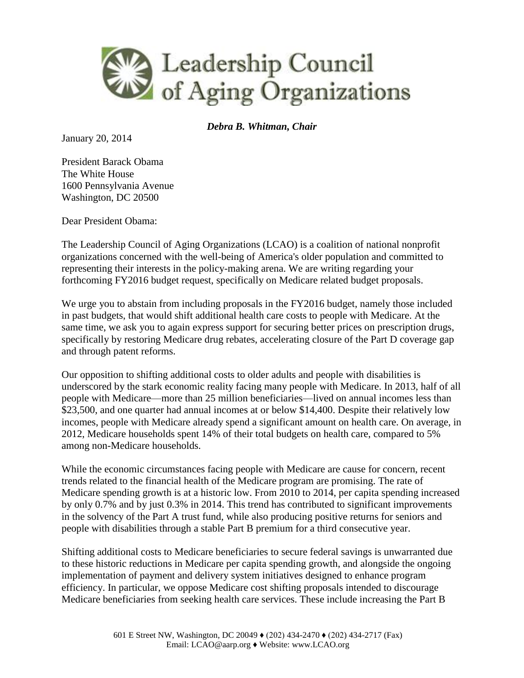

*Debra B. Whitman, Chair*

January 20, 2014

President Barack Obama The White House 1600 Pennsylvania Avenue Washington, DC 20500

Dear President Obama:

The Leadership Council of Aging Organizations (LCAO) is a coalition of national nonprofit organizations concerned with the well-being of America's older population and committed to representing their interests in the policy-making arena. We are writing regarding your forthcoming FY2016 budget request, specifically on Medicare related budget proposals.

We urge you to abstain from including proposals in the FY2016 budget, namely those included in past budgets, that would shift additional health care costs to people with Medicare. At the same time, we ask you to again express support for securing better prices on prescription drugs, specifically by restoring Medicare drug rebates, accelerating closure of the Part D coverage gap and through patent reforms.

Our opposition to shifting additional costs to older adults and people with disabilities is underscored by the stark economic reality facing many people with Medicare. In 2013, half of all people with Medicare—more than 25 million beneficiaries—lived on annual incomes less than \$23,500, and one quarter had annual incomes at or below \$14,400. Despite their relatively low incomes, people with Medicare already spend a significant amount on health care. On average, in 2012, Medicare households spent 14% of their total budgets on health care, compared to 5% among non-Medicare households.

While the economic circumstances facing people with Medicare are cause for concern, recent trends related to the financial health of the Medicare program are promising. The rate of Medicare spending growth is at a historic low. From 2010 to 2014, per capita spending increased by only 0.7% and by just 0.3% in 2014. This trend has contributed to significant improvements in the solvency of the Part A trust fund, while also producing positive returns for seniors and people with disabilities through a stable Part B premium for a third consecutive year.

Shifting additional costs to Medicare beneficiaries to secure federal savings is unwarranted due to these historic reductions in Medicare per capita spending growth, and alongside the ongoing implementation of payment and delivery system initiatives designed to enhance program efficiency. In particular, we oppose Medicare cost shifting proposals intended to discourage Medicare beneficiaries from seeking health care services. These include increasing the Part B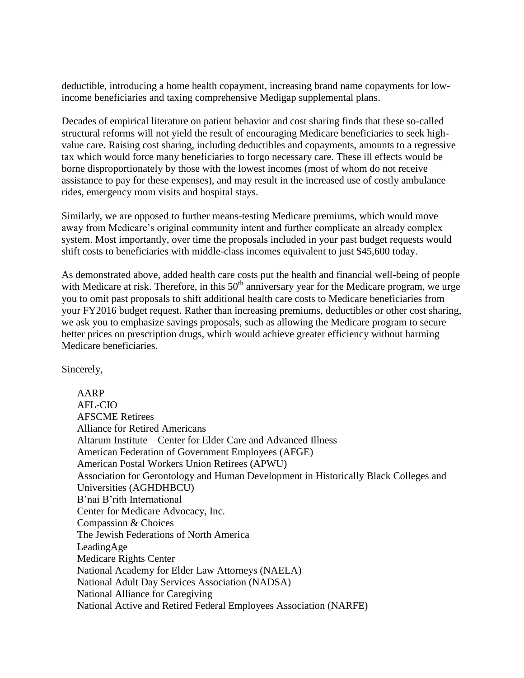deductible, introducing a home health copayment, increasing brand name copayments for lowincome beneficiaries and taxing comprehensive Medigap supplemental plans.

Decades of empirical literature on patient behavior and cost sharing finds that these so-called structural reforms will not yield the result of encouraging Medicare beneficiaries to seek highvalue care. Raising cost sharing, including deductibles and copayments, amounts to a regressive tax which would force many beneficiaries to forgo necessary care. These ill effects would be borne disproportionately by those with the lowest incomes (most of whom do not receive assistance to pay for these expenses), and may result in the increased use of costly ambulance rides, emergency room visits and hospital stays.

Similarly, we are opposed to further means-testing Medicare premiums, which would move away from Medicare's original community intent and further complicate an already complex system. Most importantly, over time the proposals included in your past budget requests would shift costs to beneficiaries with middle-class incomes equivalent to just \$45,600 today.

As demonstrated above, added health care costs put the health and financial well-being of people with Medicare at risk. Therefore, in this  $50<sup>th</sup>$  anniversary year for the Medicare program, we urge you to omit past proposals to shift additional health care costs to Medicare beneficiaries from your FY2016 budget request. Rather than increasing premiums, deductibles or other cost sharing, we ask you to emphasize savings proposals, such as allowing the Medicare program to secure better prices on prescription drugs, which would achieve greater efficiency without harming Medicare beneficiaries.

Sincerely,

AARP AFL-CIO AFSCME Retirees Alliance for Retired Americans Altarum Institute – Center for Elder Care and Advanced Illness American Federation of Government Employees (AFGE) American Postal Workers Union Retirees (APWU) Association for Gerontology and Human Development in Historically Black Colleges and Universities (AGHDHBCU) B'nai B'rith International Center for Medicare Advocacy, Inc. Compassion & Choices The Jewish Federations of North America LeadingAge Medicare Rights Center National Academy for Elder Law Attorneys (NAELA) National Adult Day Services Association (NADSA) National Alliance for Caregiving National Active and Retired Federal Employees Association (NARFE)